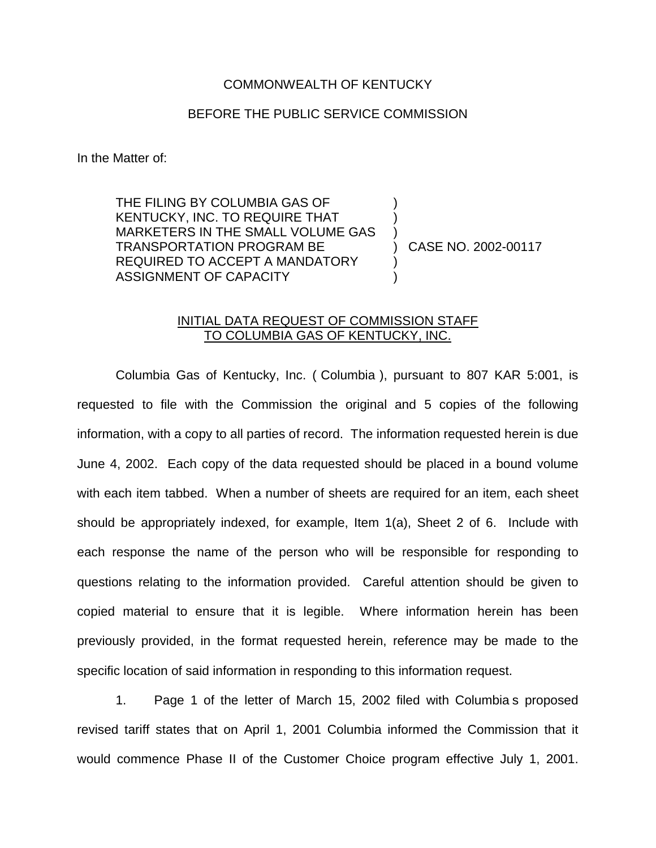## COMMONWEALTH OF KENTUCKY

## BEFORE THE PUBLIC SERVICE COMMISSION

) ) )

) )

In the Matter of:

THE FILING BY COLUMBIA GAS OF KENTUCKY, INC. TO REQUIRE THAT MARKETERS IN THE SMALL VOLUME GAS TRANSPORTATION PROGRAM BE REQUIRED TO ACCEPT A MANDATORY ASSIGNMENT OF CAPACITY

) CASE NO. 2002-00117

## INITIAL DATA REQUEST OF COMMISSION STAFF TO COLUMBIA GAS OF KENTUCKY, INC.

Columbia Gas of Kentucky, Inc. ( Columbia ), pursuant to 807 KAR 5:001, is requested to file with the Commission the original and 5 copies of the following information, with a copy to all parties of record. The information requested herein is due June 4, 2002. Each copy of the data requested should be placed in a bound volume with each item tabbed. When a number of sheets are required for an item, each sheet should be appropriately indexed, for example, Item 1(a), Sheet 2 of 6. Include with each response the name of the person who will be responsible for responding to questions relating to the information provided. Careful attention should be given to copied material to ensure that it is legible. Where information herein has been previously provided, in the format requested herein, reference may be made to the specific location of said information in responding to this information request.

1. Page 1 of the letter of March 15, 2002 filed with Columbia s proposed revised tariff states that on April 1, 2001 Columbia informed the Commission that it would commence Phase II of the Customer Choice program effective July 1, 2001.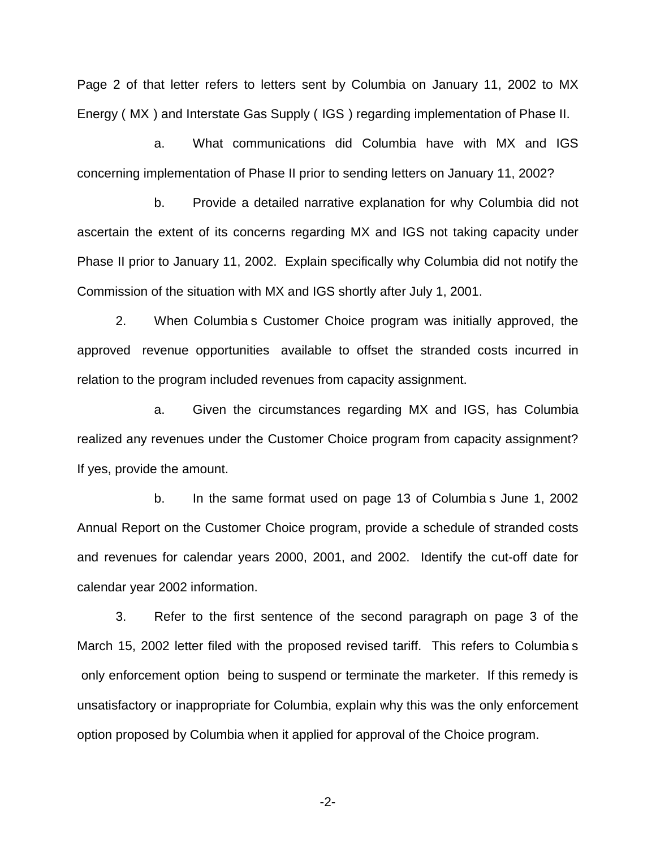Page 2 of that letter refers to letters sent by Columbia on January 11, 2002 to MX Energy ( MX ) and Interstate Gas Supply ( IGS ) regarding implementation of Phase II.

a. What communications did Columbia have with MX and IGS concerning implementation of Phase II prior to sending letters on January 11, 2002?

b. Provide a detailed narrative explanation for why Columbia did not ascertain the extent of its concerns regarding MX and IGS not taking capacity under Phase II prior to January 11, 2002. Explain specifically why Columbia did not notify the Commission of the situation with MX and IGS shortly after July 1, 2001.

2. When Columbia s Customer Choice program was initially approved, the approved revenue opportunities available to offset the stranded costs incurred in relation to the program included revenues from capacity assignment.

a. Given the circumstances regarding MX and IGS, has Columbia realized any revenues under the Customer Choice program from capacity assignment? If yes, provide the amount.

b. In the same format used on page 13 of Columbia s June 1, 2002 Annual Report on the Customer Choice program, provide a schedule of stranded costs and revenues for calendar years 2000, 2001, and 2002. Identify the cut-off date for calendar year 2002 information.

3. Refer to the first sentence of the second paragraph on page 3 of the March 15, 2002 letter filed with the proposed revised tariff. This refers to Columbia s only enforcement option being to suspend or terminate the marketer. If this remedy is unsatisfactory or inappropriate for Columbia, explain why this was the only enforcement option proposed by Columbia when it applied for approval of the Choice program.

-2-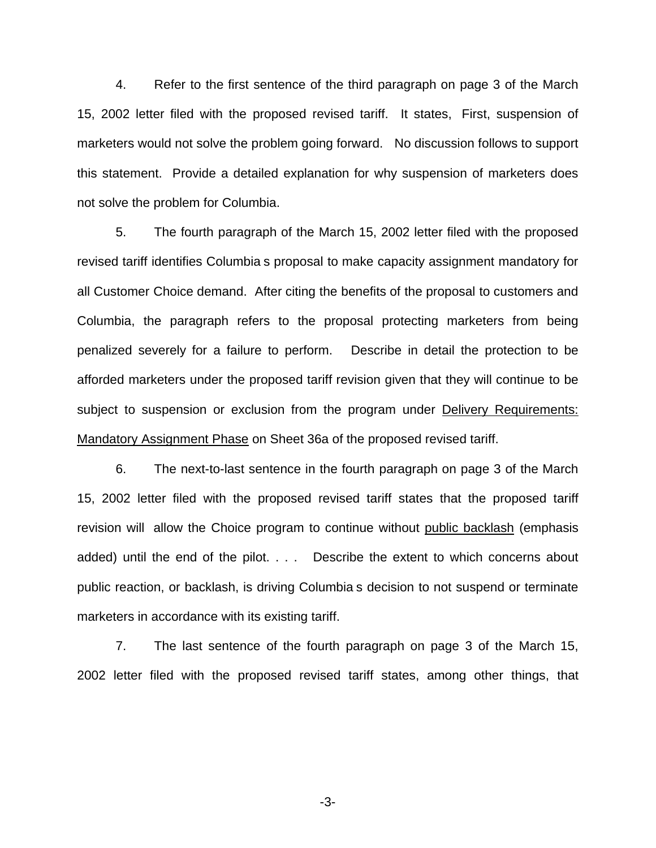4. Refer to the first sentence of the third paragraph on page 3 of the March 15, 2002 letter filed with the proposed revised tariff. It states, First, suspension of marketers would not solve the problem going forward. No discussion follows to support this statement. Provide a detailed explanation for why suspension of marketers does not solve the problem for Columbia.

5. The fourth paragraph of the March 15, 2002 letter filed with the proposed revised tariff identifies Columbia s proposal to make capacity assignment mandatory for all Customer Choice demand. After citing the benefits of the proposal to customers and Columbia, the paragraph refers to the proposal protecting marketers from being penalized severely for a failure to perform. Describe in detail the protection to be afforded marketers under the proposed tariff revision given that they will continue to be subject to suspension or exclusion from the program under Delivery Requirements: Mandatory Assignment Phase on Sheet 36a of the proposed revised tariff.

6. The next-to-last sentence in the fourth paragraph on page 3 of the March 15, 2002 letter filed with the proposed revised tariff states that the proposed tariff revision will allow the Choice program to continue without public backlash (emphasis added) until the end of the pilot. . . . Describe the extent to which concerns about public reaction, or backlash, is driving Columbia s decision to not suspend or terminate marketers in accordance with its existing tariff.

7. The last sentence of the fourth paragraph on page 3 of the March 15, 2002 letter filed with the proposed revised tariff states, among other things, that

-3-